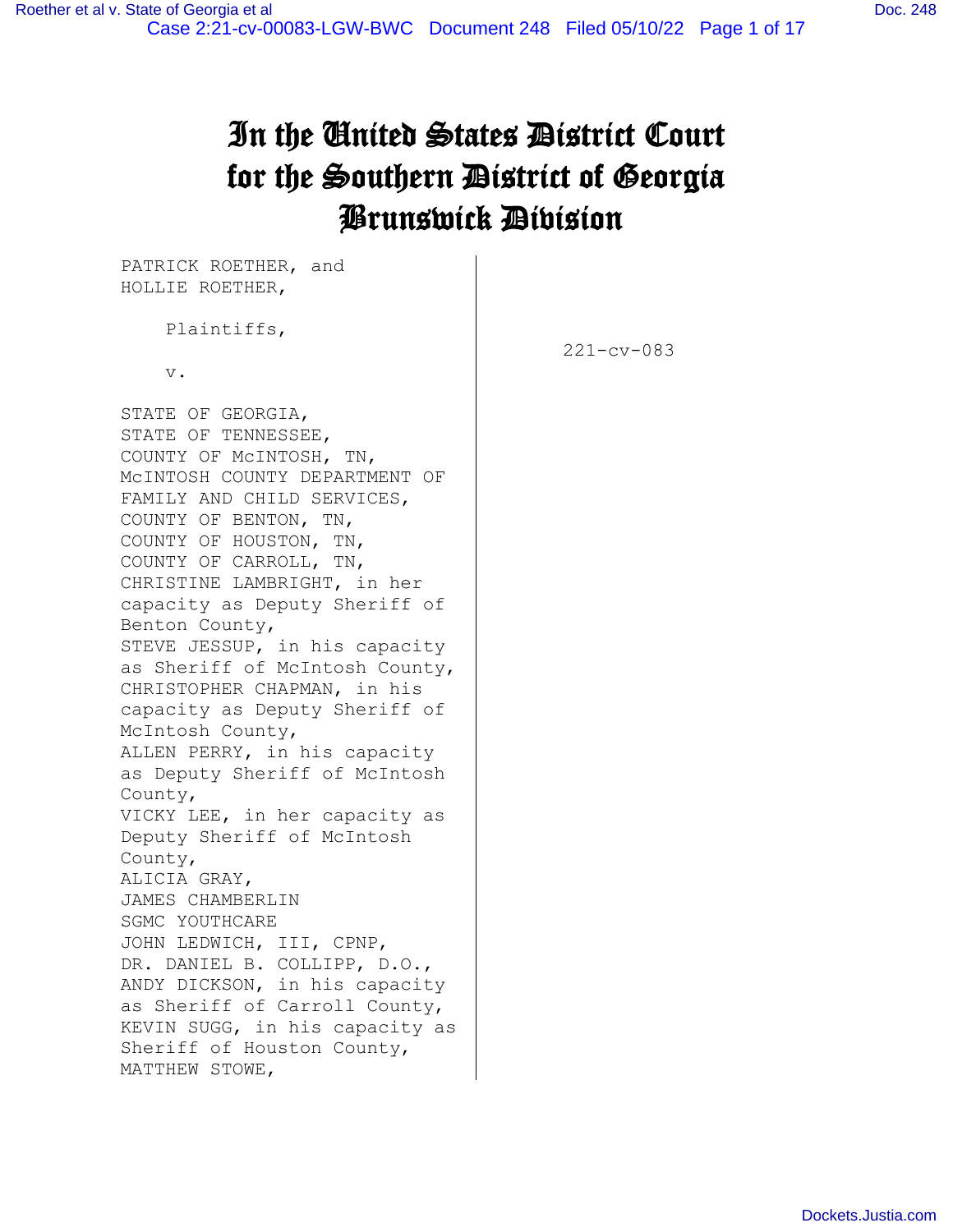# In the United States District Court for the Southern District of Georgia Brunswick Division

PATRICK ROETHER, and HOLLIE ROETHER,

Plaintiffs,

v.

STATE OF GEORGIA, STATE OF TENNESSEE, COUNTY OF McINTOSH, TN, McINTOSH COUNTY DEPARTMENT OF FAMILY AND CHILD SERVICES, COUNTY OF BENTON, TN, COUNTY OF HOUSTON, TN, COUNTY OF CARROLL, TN, CHRISTINE LAMBRIGHT, in her capacity as Deputy Sheriff of Benton County, STEVE JESSUP, in his capacity as Sheriff of McIntosh County, CHRISTOPHER CHAPMAN, in his capacity as Deputy Sheriff of McIntosh County, ALLEN PERRY, in his capacity as Deputy Sheriff of McIntosh County, VICKY LEE, in her capacity as Deputy Sheriff of McIntosh County, ALICIA GRAY, JAMES CHAMBERLIN SGMC YOUTHCARE JOHN LEDWICH, III, CPNP, DR. DANIEL B. COLLIPP, D.O., ANDY DICKSON, in his capacity as Sheriff of Carroll County, KEVIN SUGG, in his capacity as Sheriff of Houston County, MATTHEW STOWE,

221-cv-083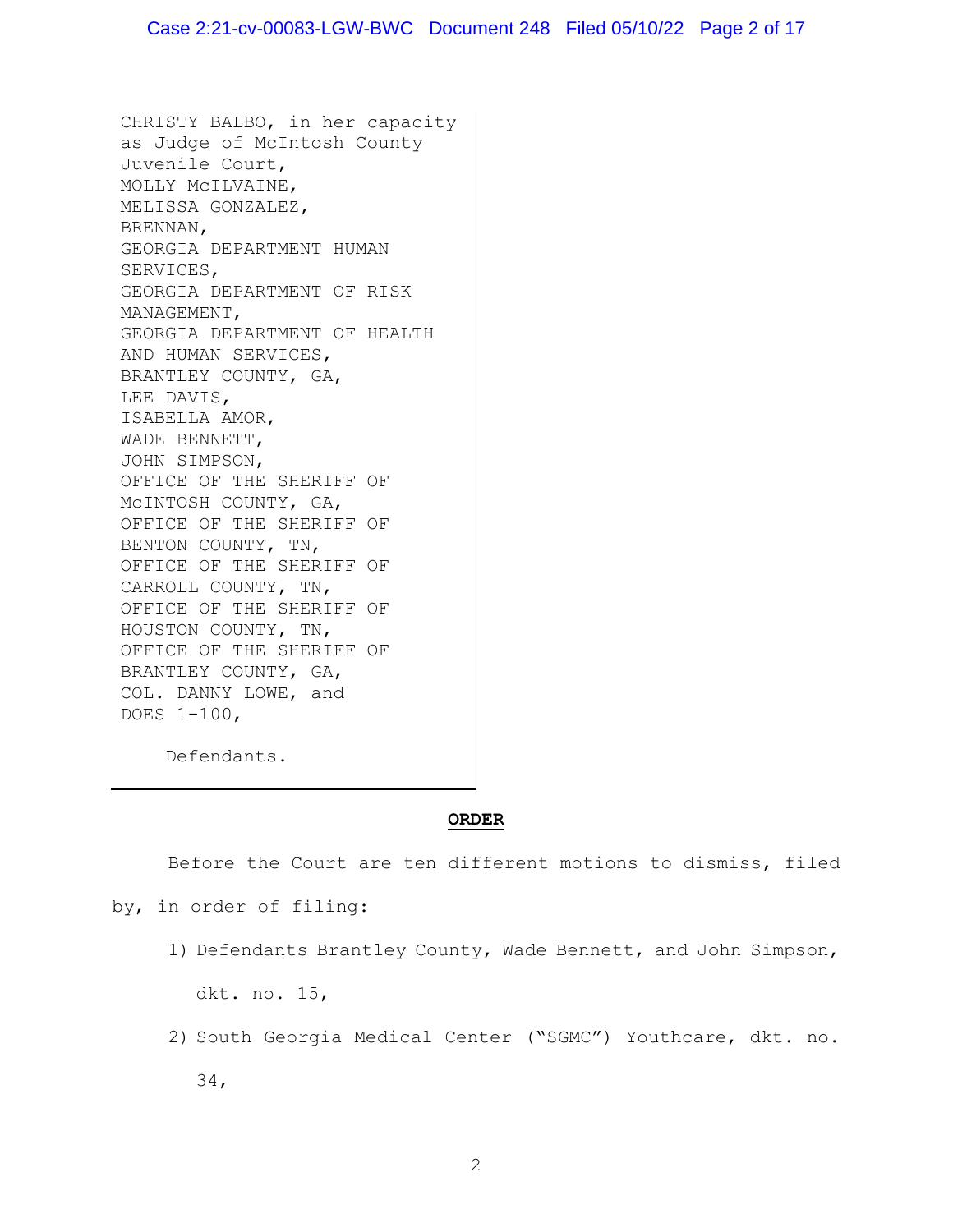CHRISTY BALBO, in her capacity as Judge of McIntosh County Juvenile Court, MOLLY McILVAINE, MELISSA GONZALEZ, BRENNAN, GEORGIA DEPARTMENT HUMAN SERVICES, GEORGIA DEPARTMENT OF RISK MANAGEMENT, GEORGIA DEPARTMENT OF HEALTH AND HUMAN SERVICES, BRANTLEY COUNTY, GA, LEE DAVIS, ISABELLA AMOR, WADE BENNETT, JOHN SIMPSON, OFFICE OF THE SHERIFF OF McINTOSH COUNTY, GA, OFFICE OF THE SHERIFF OF BENTON COUNTY, TN, OFFICE OF THE SHERIFF OF CARROLL COUNTY, TN, OFFICE OF THE SHERIFF OF HOUSTON COUNTY, TN, OFFICE OF THE SHERIFF OF BRANTLEY COUNTY, GA, COL. DANNY LOWE, and DOES 1-100,

Defendants.

#### **ORDER**

Before the Court are ten different motions to dismiss, filed

by, in order of filing:

1) Defendants Brantley County, Wade Bennett, and John Simpson,

dkt. no. 15,

2) South Georgia Medical Center ("SGMC") Youthcare, dkt. no. 34,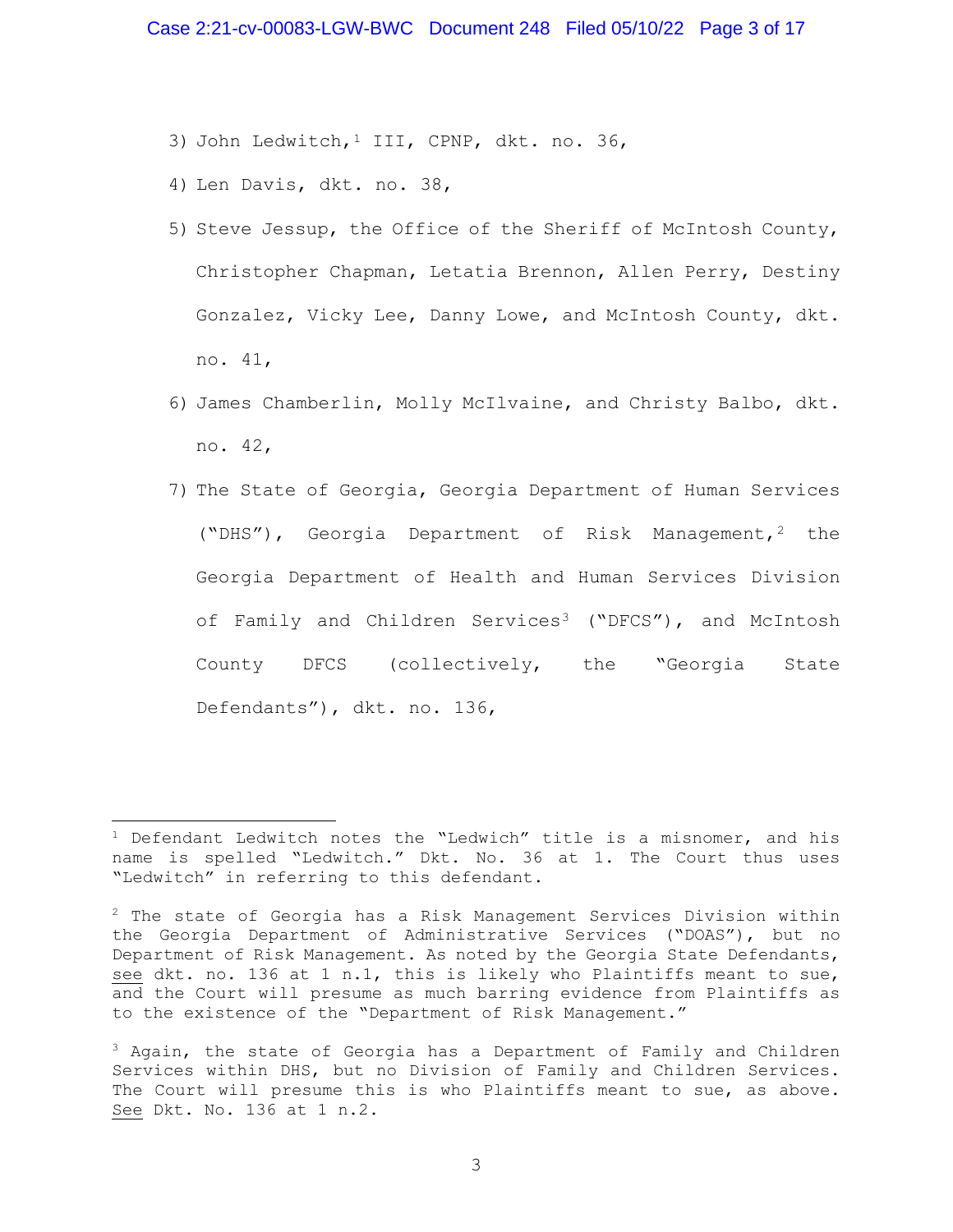- 3) John Ledwitch, <sup>[1](#page-2-0)</sup> III, CPNP, dkt. no. 36,
- 4) Len Davis, dkt. no. 38,
- 5) Steve Jessup, the Office of the Sheriff of McIntosh County, Christopher Chapman, Letatia Brennon, Allen Perry, Destiny Gonzalez, Vicky Lee, Danny Lowe, and McIntosh County, dkt. no. 41,
- 6) James Chamberlin, Molly McIlvaine, and Christy Balbo, dkt. no. 42,
- 7) The State of Georgia, Georgia Department of Human Services ("DHS"), Georgia Department of Risk Management,<sup>[2](#page-2-1)</sup> the Georgia Department of Health and Human Services Division of Family and Children Services<sup>[3](#page-2-2)</sup> ("DFCS"), and McIntosh County DFCS (collectively, the "Georgia State Defendants"), dkt. no. 136,

<span id="page-2-0"></span> $1$  Defendant Ledwitch notes the "Ledwich" title is a misnomer, and his name is spelled "Ledwitch." Dkt. No. 36 at 1. The Court thus uses "Ledwitch" in referring to this defendant.

<span id="page-2-1"></span><sup>&</sup>lt;sup>2</sup> The state of Georgia has a Risk Management Services Division within the Georgia Department of Administrative Services ("DOAS"), but no Department of Risk Management. As noted by the Georgia State Defendants, see dkt. no. 136 at 1 n.1, this is likely who Plaintiffs meant to sue, and the Court will presume as much barring evidence from Plaintiffs as to the existence of the "Department of Risk Management."

<span id="page-2-2"></span><sup>&</sup>lt;sup>3</sup> Again, the state of Georgia has a Department of Family and Children Services within DHS, but no Division of Family and Children Services. The Court will presume this is who Plaintiffs meant to sue, as above. See Dkt. No. 136 at 1 n.2.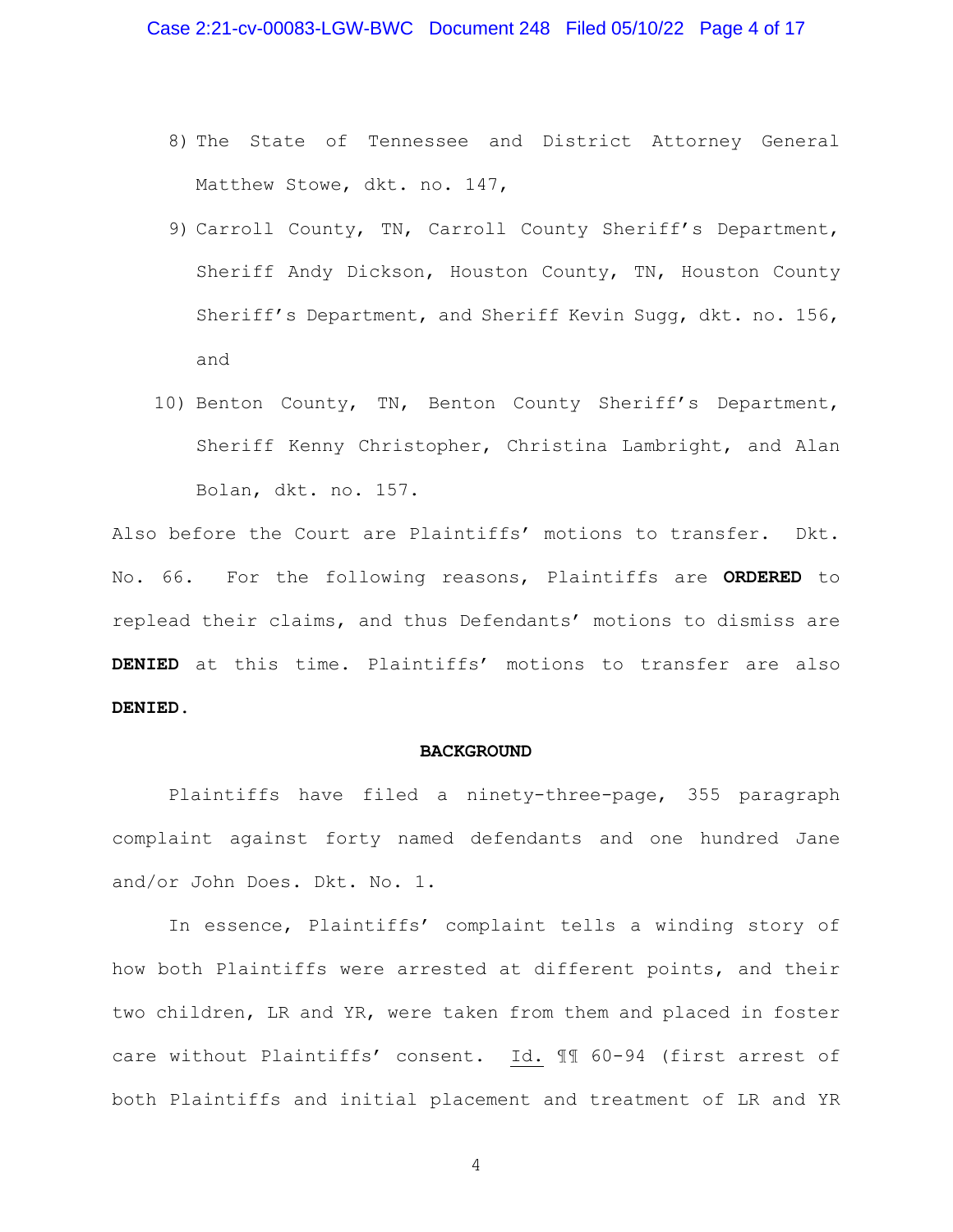- 8) The State of Tennessee and District Attorney General Matthew Stowe, dkt. no. 147,
- 9) Carroll County, TN, Carroll County Sheriff's Department, Sheriff Andy Dickson, Houston County, TN, Houston County Sheriff's Department, and Sheriff Kevin Sugg, dkt. no. 156, and
- 10) Benton County, TN, Benton County Sheriff's Department, Sheriff Kenny Christopher, Christina Lambright, and Alan Bolan, dkt. no. 157.

Also before the Court are Plaintiffs' motions to transfer. Dkt. No. 66. For the following reasons, Plaintiffs are **ORDERED** to replead their claims, and thus Defendants' motions to dismiss are **DENIED** at this time. Plaintiffs' motions to transfer are also **DENIED**.

#### **BACKGROUND**

Plaintiffs have filed a ninety-three-page, 355 paragraph complaint against forty named defendants and one hundred Jane and/or John Does. Dkt. No. 1.

In essence, Plaintiffs' complaint tells a winding story of how both Plaintiffs were arrested at different points, and their two children, LR and YR, were taken from them and placed in foster care without Plaintiffs' consent. Id. ¶¶ 60-94 (first arrest of both Plaintiffs and initial placement and treatment of LR and YR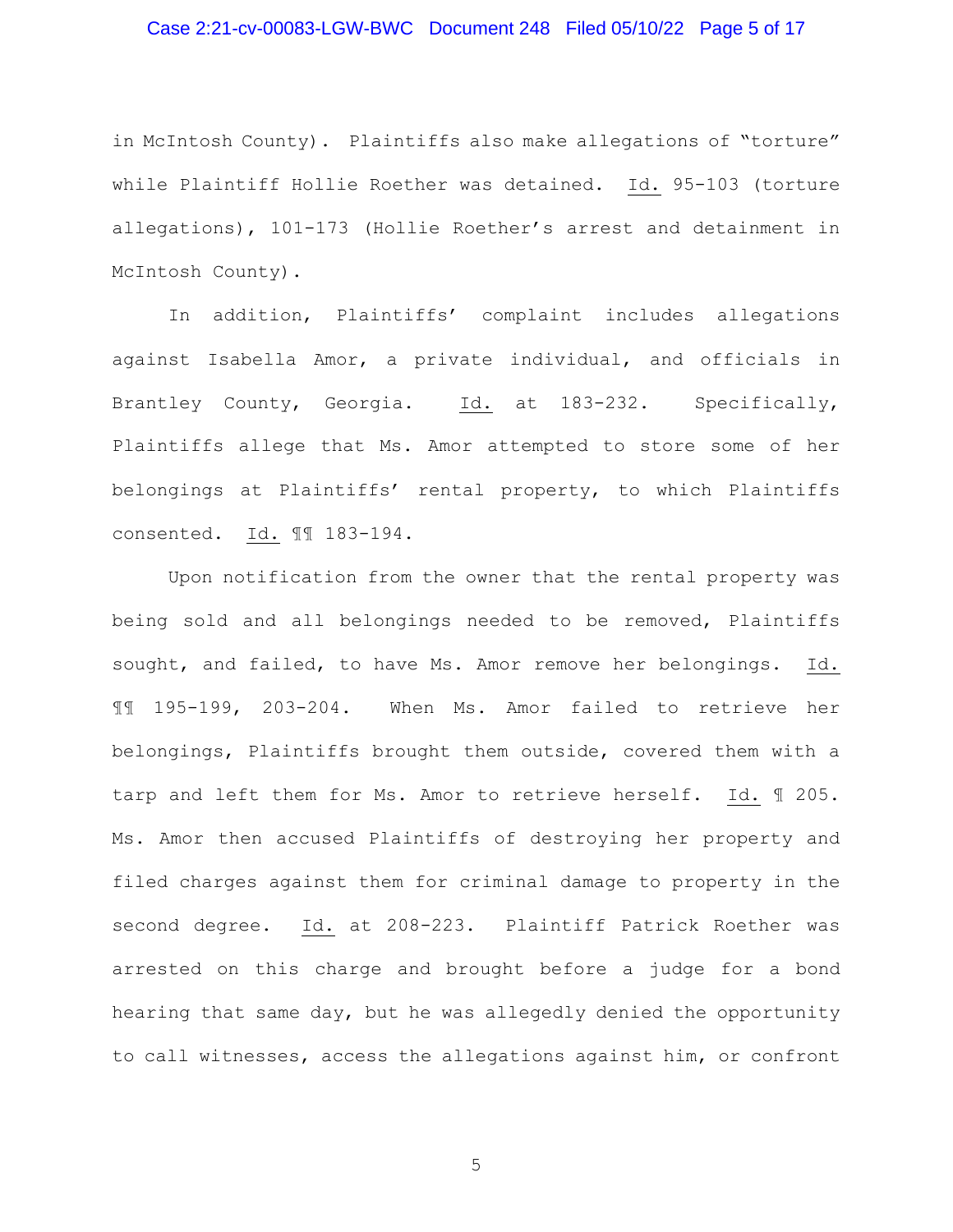#### Case 2:21-cv-00083-LGW-BWC Document 248 Filed 05/10/22 Page 5 of 17

in McIntosh County). Plaintiffs also make allegations of "torture" while Plaintiff Hollie Roether was detained. Id. 95-103 (torture allegations), 101-173 (Hollie Roether's arrest and detainment in McIntosh County).

In addition, Plaintiffs' complaint includes allegations against Isabella Amor, a private individual, and officials in Brantley County, Georgia. Id. at 183-232. Specifically, Plaintiffs allege that Ms. Amor attempted to store some of her belongings at Plaintiffs' rental property, to which Plaintiffs consented. Id. ¶¶ 183-194.

Upon notification from the owner that the rental property was being sold and all belongings needed to be removed, Plaintiffs sought, and failed, to have Ms. Amor remove her belongings. Id. ¶¶ 195-199, 203-204. When Ms. Amor failed to retrieve her belongings, Plaintiffs brought them outside, covered them with a tarp and left them for Ms. Amor to retrieve herself. Id. ¶ 205. Ms. Amor then accused Plaintiffs of destroying her property and filed charges against them for criminal damage to property in the second degree. Id. at 208-223. Plaintiff Patrick Roether was arrested on this charge and brought before a judge for a bond hearing that same day, but he was allegedly denied the opportunity to call witnesses, access the allegations against him, or confront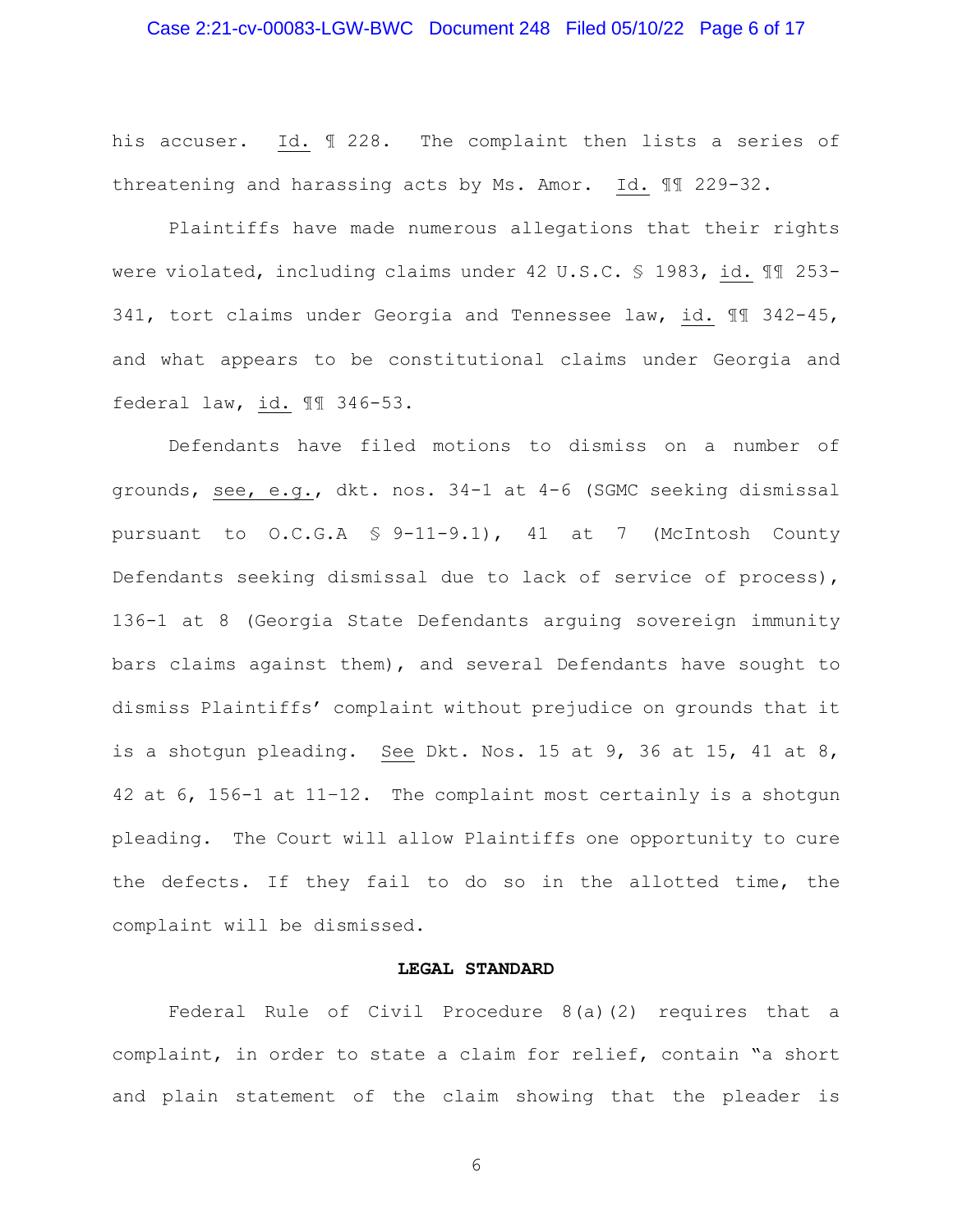#### Case 2:21-cv-00083-LGW-BWC Document 248 Filed 05/10/22 Page 6 of 17

his accuser. Id. ¶ 228. The complaint then lists a series of threatening and harassing acts by Ms. Amor. Id. ¶¶ 229-32.

Plaintiffs have made numerous allegations that their rights were violated, including claims under 42 U.S.C. § 1983, id. ¶¶ 253- 341, tort claims under Georgia and Tennessee law, id. ¶¶ 342-45, and what appears to be constitutional claims under Georgia and federal law, id. ¶¶ 346-53.

Defendants have filed motions to dismiss on a number of grounds, see, e.g., dkt. nos. 34-1 at 4-6 (SGMC seeking dismissal pursuant to O.C.G.A § 9-11-9.1), 41 at 7 (McIntosh County Defendants seeking dismissal due to lack of service of process), 136-1 at 8 (Georgia State Defendants arguing sovereign immunity bars claims against them), and several Defendants have sought to dismiss Plaintiffs' complaint without prejudice on grounds that it is a shotgun pleading. See Dkt. Nos. 15 at 9, 36 at 15, 41 at 8, 42 at 6, 156-1 at 11–12. The complaint most certainly is a shotgun pleading. The Court will allow Plaintiffs one opportunity to cure the defects. If they fail to do so in the allotted time, the complaint will be dismissed.

#### **LEGAL STANDARD**

Federal Rule of Civil Procedure 8(a)(2) requires that a complaint, in order to state a claim for relief, contain "a short and plain statement of the claim showing that the pleader is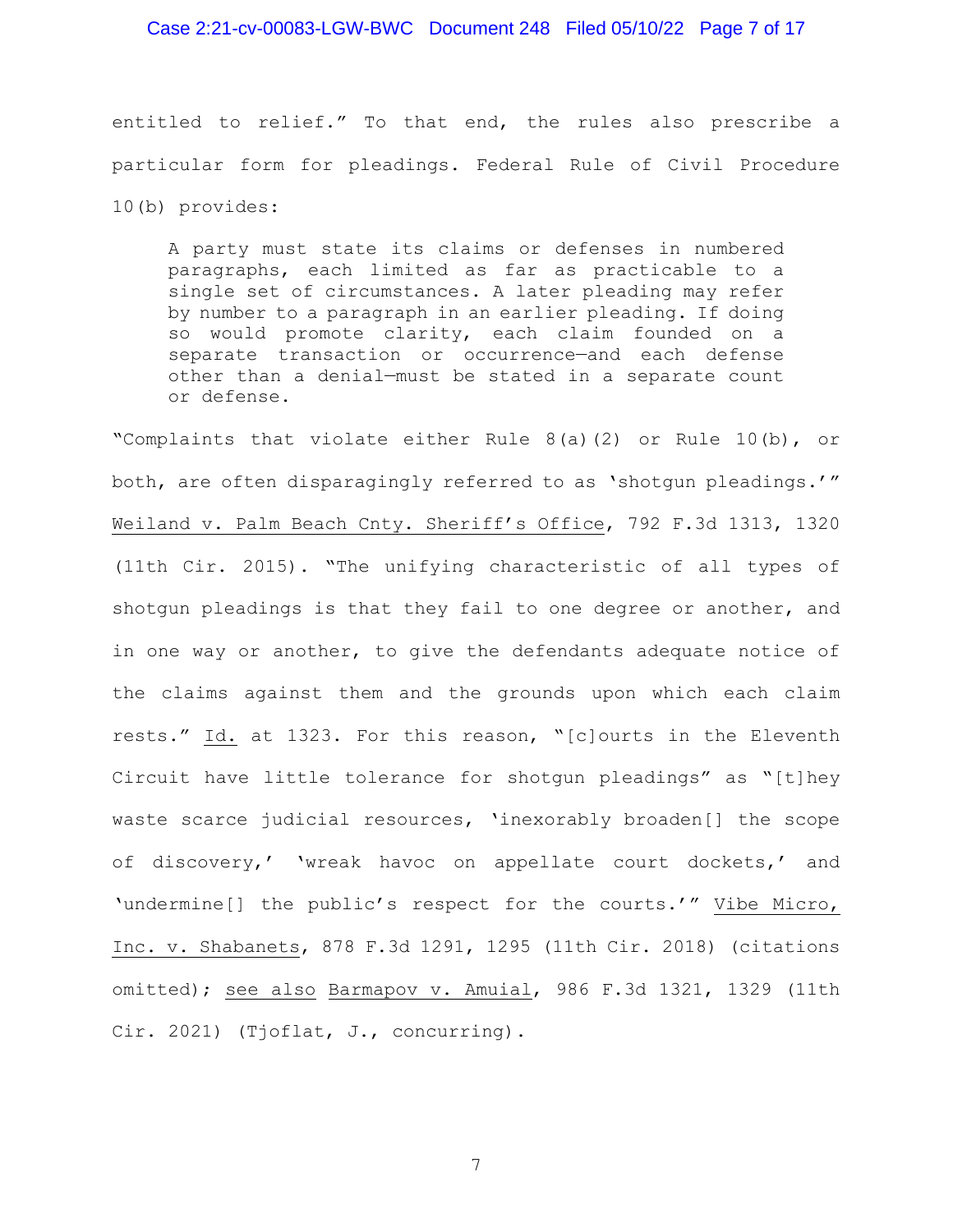#### Case 2:21-cv-00083-LGW-BWC Document 248 Filed 05/10/22 Page 7 of 17

entitled to relief." To that end, the rules also prescribe a particular form for pleadings. Federal Rule of Civil Procedure 10(b) provides:

A party must state its claims or defenses in numbered paragraphs, each limited as far as practicable to a single set of circumstances. A later pleading may refer by number to a paragraph in an earlier pleading. If doing so would promote clarity, each claim founded on a separate transaction or occurrence—and each defense other than a denial—must be stated in a separate count or defense.

"Complaints that violate either Rule 8(a)(2) or Rule 10(b), or both, are often disparagingly referred to as 'shotgun pleadings.'" Weiland v. Palm Beach Cnty. Sheriff's Office, 792 F.3d 1313, 1320 (11th Cir. 2015). "The unifying characteristic of all types of shotgun pleadings is that they fail to one degree or another, and in one way or another, to give the defendants adequate notice of the claims against them and the grounds upon which each claim rests." Id. at 1323. For this reason, "[c]ourts in the Eleventh Circuit have little tolerance for shotgun pleadings" as "[t]hey waste scarce judicial resources, 'inexorably broaden[] the scope of discovery,' 'wreak havoc on appellate court dockets,' and 'undermine[] the public's respect for the courts.'" Vibe Micro, Inc. v. Shabanets, 878 F.3d 1291, 1295 (11th Cir. 2018) (citations omitted); see also Barmapov v. Amuial, 986 F.3d 1321, 1329 (11th Cir. 2021) (Tjoflat, J., concurring).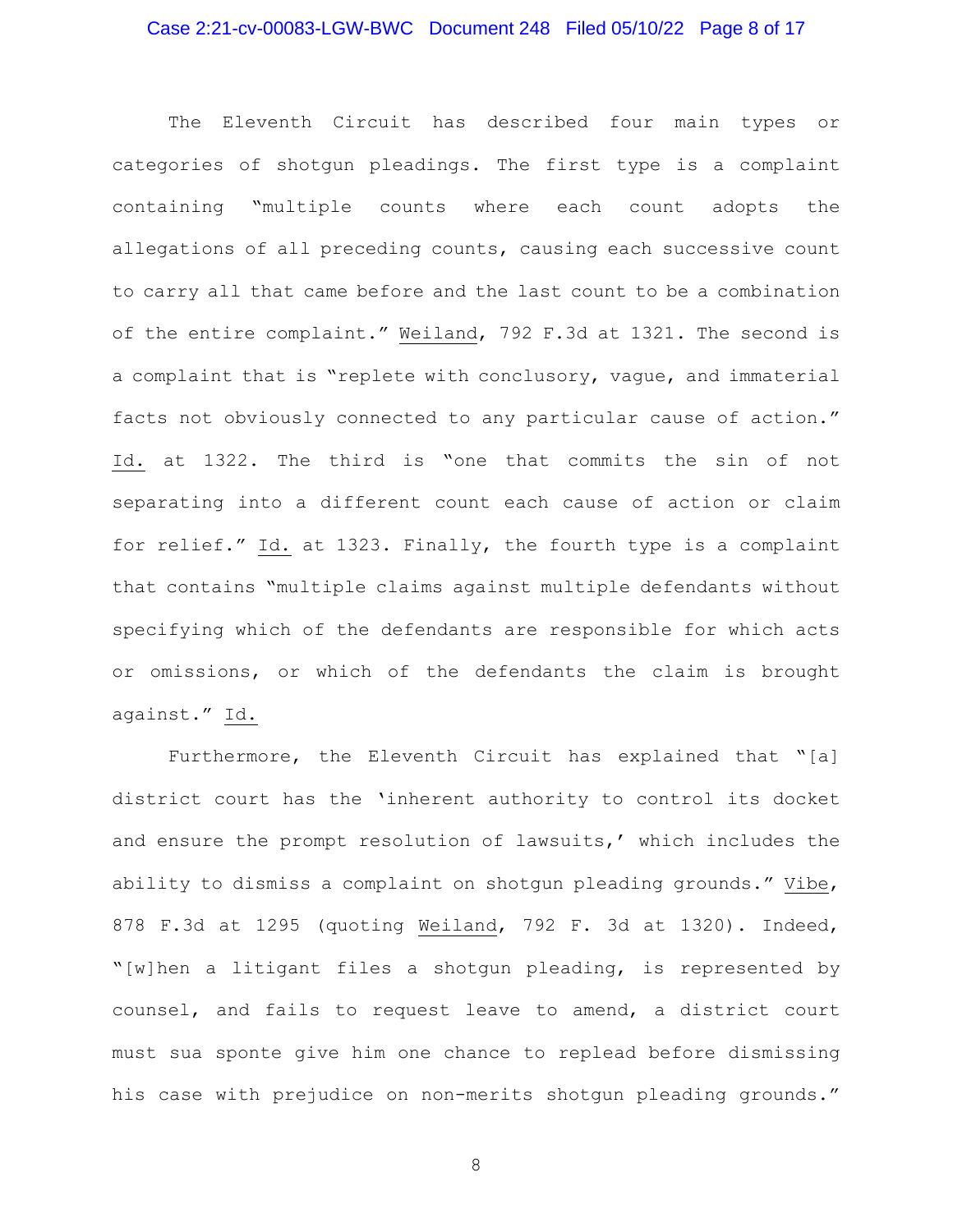## Case 2:21-cv-00083-LGW-BWC Document 248 Filed 05/10/22 Page 8 of 17

The Eleventh Circuit has described four main types or categories of shotgun pleadings. The first type is a complaint containing "multiple counts where each count adopts the allegations of all preceding counts, causing each successive count to carry all that came before and the last count to be a combination of the entire complaint." Weiland, 792 F.3d at 1321. The second is a complaint that is "replete with conclusory, vague, and immaterial facts not obviously connected to any particular cause of action." Id. at 1322. The third is "one that commits the sin of not separating into a different count each cause of action or claim for relief." Id. at 1323. Finally, the fourth type is a complaint that contains "multiple claims against multiple defendants without specifying which of the defendants are responsible for which acts or omissions, or which of the defendants the claim is brought against." Id.

Furthermore, the Eleventh Circuit has explained that "[a] district court has the 'inherent authority to control its docket and ensure the prompt resolution of lawsuits,' which includes the ability to dismiss a complaint on shotgun pleading grounds." Vibe, 878 F.3d at 1295 (quoting Weiland, 792 F. 3d at 1320). Indeed, "[w]hen a litigant files a shotgun pleading, is represented by counsel, and fails to request leave to amend, a district court must sua sponte give him one chance to replead before dismissing his case with prejudice on non-merits shotgun pleading grounds."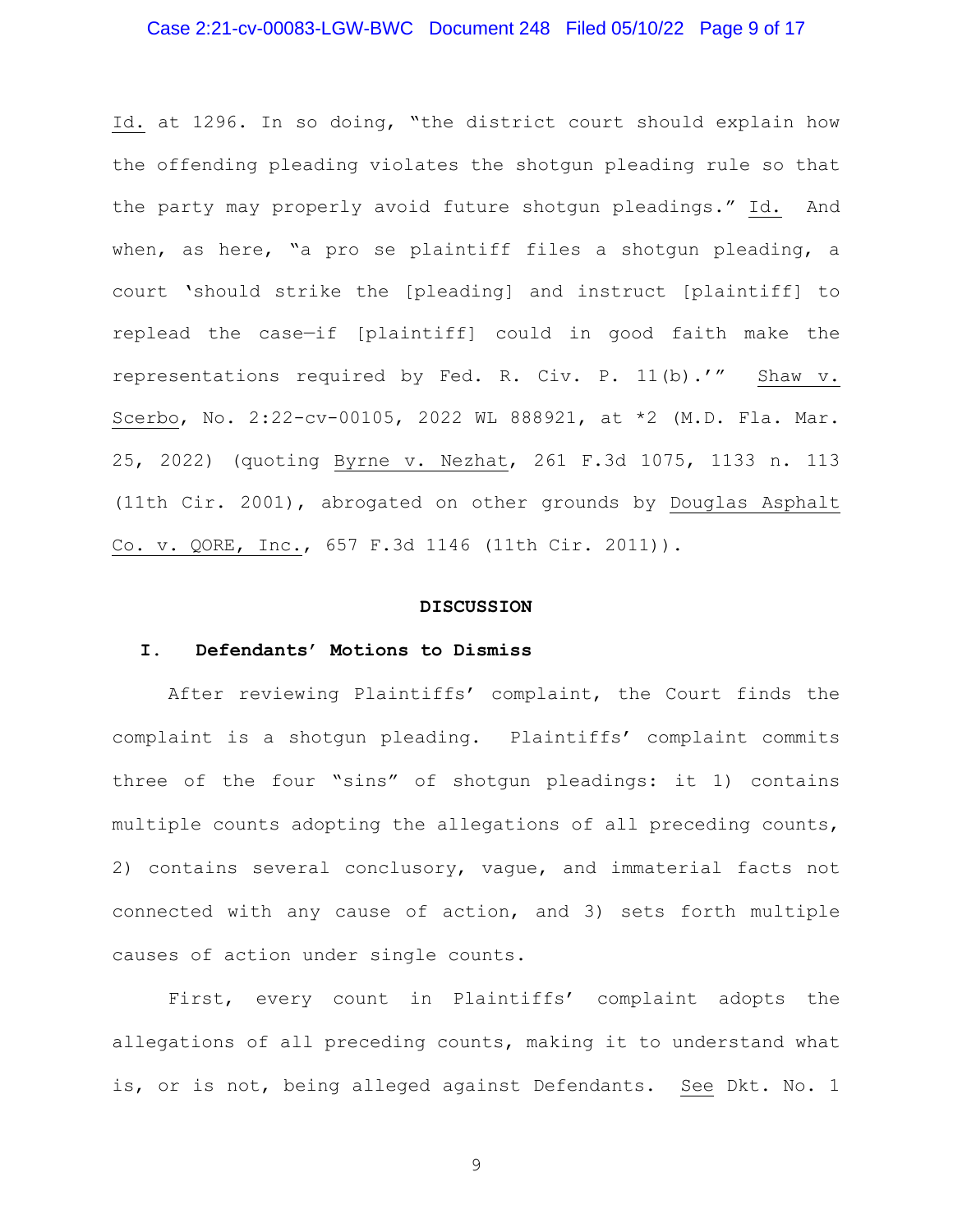## Case 2:21-cv-00083-LGW-BWC Document 248 Filed 05/10/22 Page 9 of 17

Id. at 1296. In so doing, "the district court should explain how the offending pleading violates the shotgun pleading rule so that the party may properly avoid future shotgun pleadings." Id. And when, as here, "a pro se plaintiff files a shotgun pleading, a court 'should strike the [pleading] and instruct [plaintiff] to replead the case—if [plaintiff] could in good faith make the representations required by Fed. R. Civ. P. 11(b).'" Shaw v. Scerbo, No. 2:22-cv-00105, 2022 WL 888921, at \*2 (M.D. Fla. Mar. 25, 2022) (quoting Byrne v. Nezhat, 261 F.3d 1075, 1133 n. 113 (11th Cir. 2001), abrogated on other grounds by Douglas Asphalt Co. v. QORE, Inc., 657 F.3d 1146 (11th Cir. 2011)).

#### **DISCUSSION**

### **I. Defendants' Motions to Dismiss**

After reviewing Plaintiffs' complaint, the Court finds the complaint is a shotgun pleading. Plaintiffs' complaint commits three of the four "sins" of shotgun pleadings: it 1) contains multiple counts adopting the allegations of all preceding counts, 2) contains several conclusory, vague, and immaterial facts not connected with any cause of action, and 3) sets forth multiple causes of action under single counts.

First, every count in Plaintiffs' complaint adopts the allegations of all preceding counts, making it to understand what is, or is not, being alleged against Defendants. See Dkt. No. 1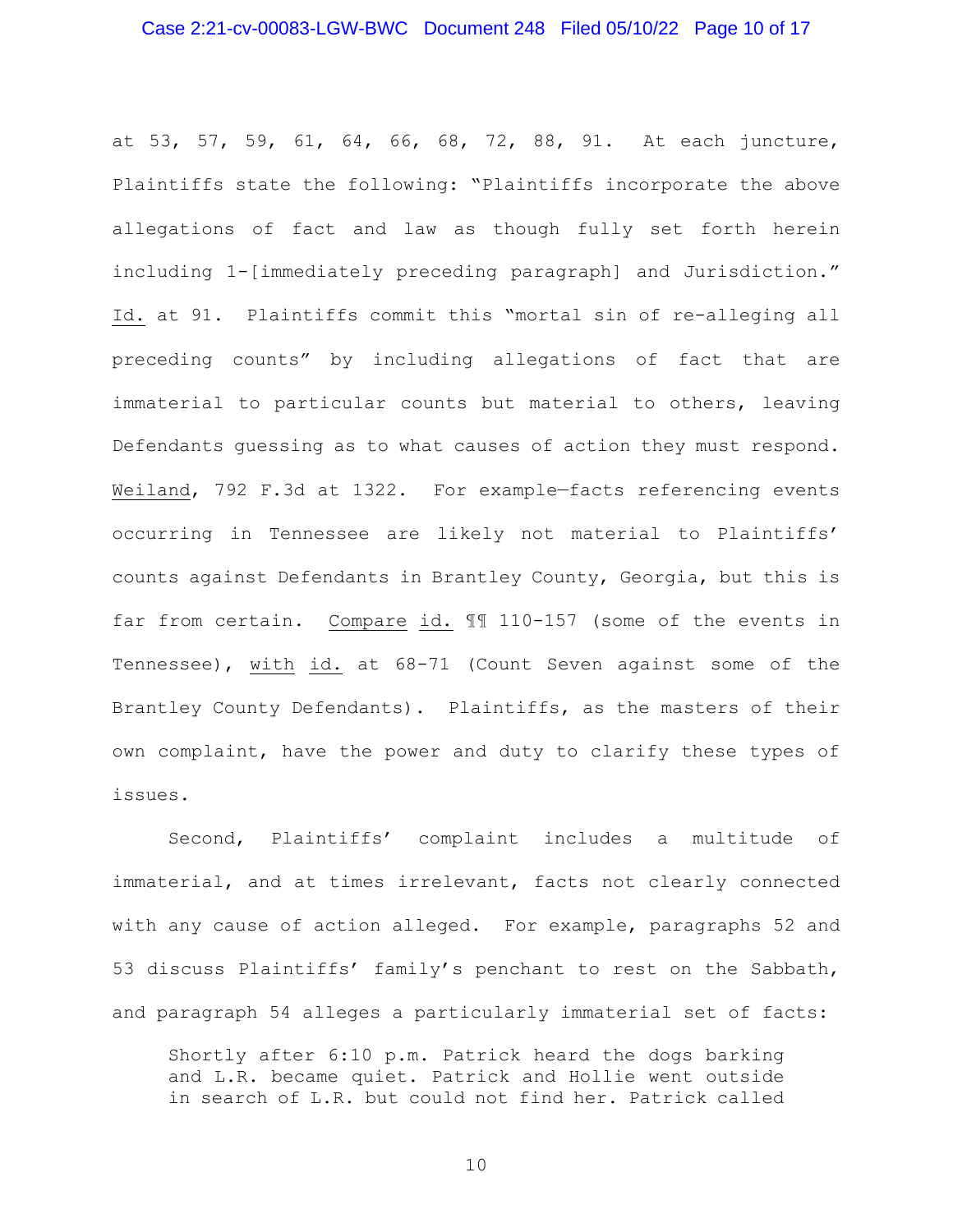at 53, 57, 59, 61, 64, 66, 68, 72, 88, 91. At each juncture, Plaintiffs state the following: "Plaintiffs incorporate the above allegations of fact and law as though fully set forth herein including 1-[immediately preceding paragraph] and Jurisdiction." Id. at 91. Plaintiffs commit this "mortal sin of re-alleging all preceding counts" by including allegations of fact that are immaterial to particular counts but material to others, leaving Defendants guessing as to what causes of action they must respond. Weiland, 792 F.3d at 1322. For example—facts referencing events occurring in Tennessee are likely not material to Plaintiffs' counts against Defendants in Brantley County, Georgia, but this is far from certain. Compare id. ¶¶ 110-157 (some of the events in Tennessee), with id. at 68-71 (Count Seven against some of the Brantley County Defendants). Plaintiffs, as the masters of their own complaint, have the power and duty to clarify these types of issues.

Second, Plaintiffs' complaint includes a multitude of immaterial, and at times irrelevant, facts not clearly connected with any cause of action alleged. For example, paragraphs 52 and 53 discuss Plaintiffs' family's penchant to rest on the Sabbath, and paragraph 54 alleges a particularly immaterial set of facts:

Shortly after 6:10 p.m. Patrick heard the dogs barking and L.R. became quiet. Patrick and Hollie went outside in search of L.R. but could not find her. Patrick called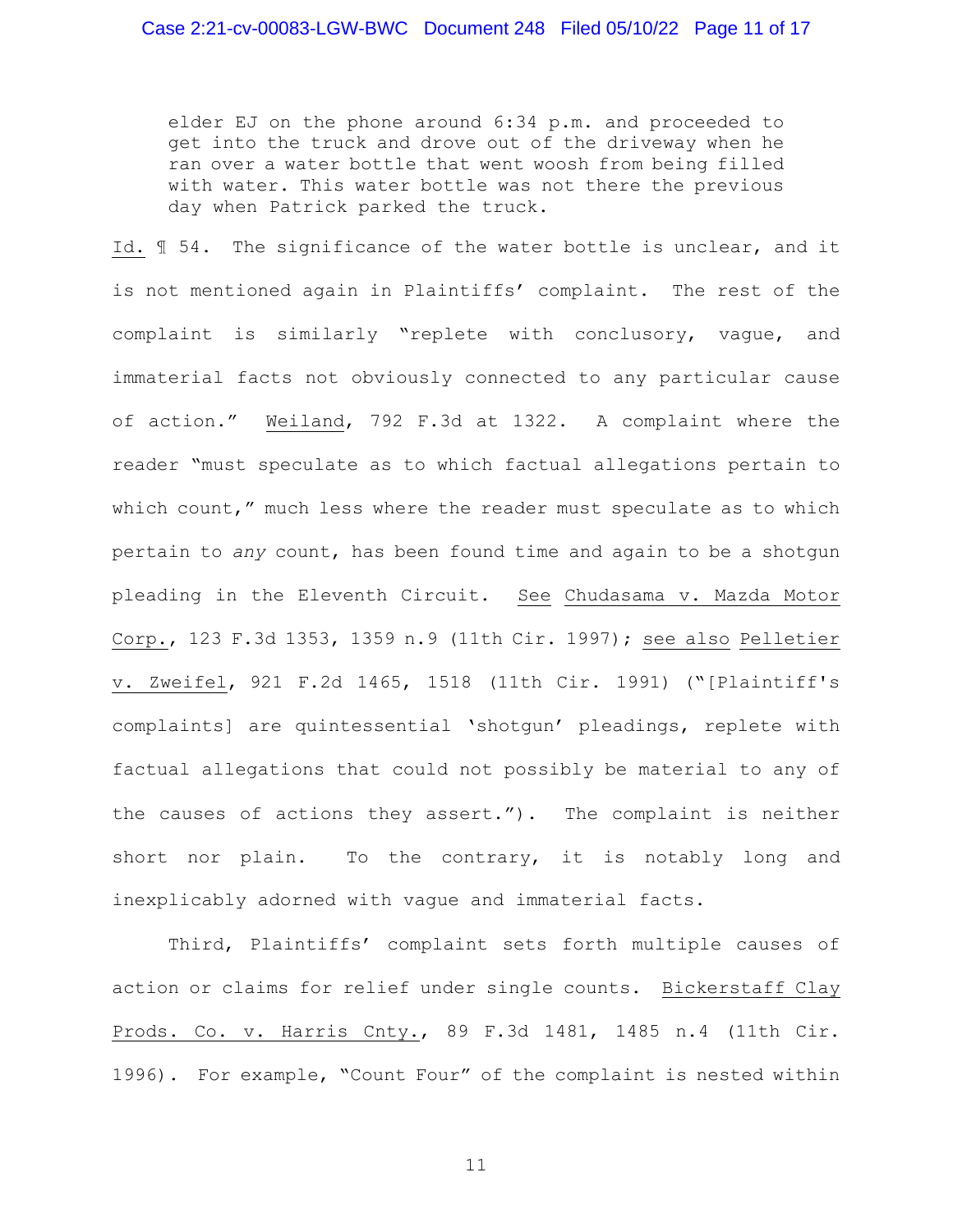elder EJ on the phone around 6:34 p.m. and proceeded to get into the truck and drove out of the driveway when he ran over a water bottle that went woosh from being filled with water. This water bottle was not there the previous day when Patrick parked the truck.

Id. ¶ 54. The significance of the water bottle is unclear, and it is not mentioned again in Plaintiffs' complaint. The rest of the complaint is similarly "replete with conclusory, vague, and immaterial facts not obviously connected to any particular cause of action." Weiland, 792 F.3d at 1322. A complaint where the reader "must speculate as to which factual allegations pertain to which count," much less where the reader must speculate as to which pertain to *any* count, has been found time and again to be a shotgun pleading in the Eleventh Circuit. See Chudasama v. Mazda Motor Corp., 123 F.3d 1353, 1359 n.9 (11th Cir. 1997); see also Pelletier v. Zweifel, 921 F.2d 1465, 1518 (11th Cir. 1991) ("[Plaintiff's complaints] are quintessential 'shotgun' pleadings, replete with factual allegations that could not possibly be material to any of the causes of actions they assert."). The complaint is neither short nor plain. To the contrary, it is notably long and inexplicably adorned with vague and immaterial facts.

Third, Plaintiffs' complaint sets forth multiple causes of action or claims for relief under single counts. Bickerstaff Clay Prods. Co. v. Harris Cnty., 89 F.3d 1481, 1485 n.4 (11th Cir. 1996). For example, "Count Four" of the complaint is nested within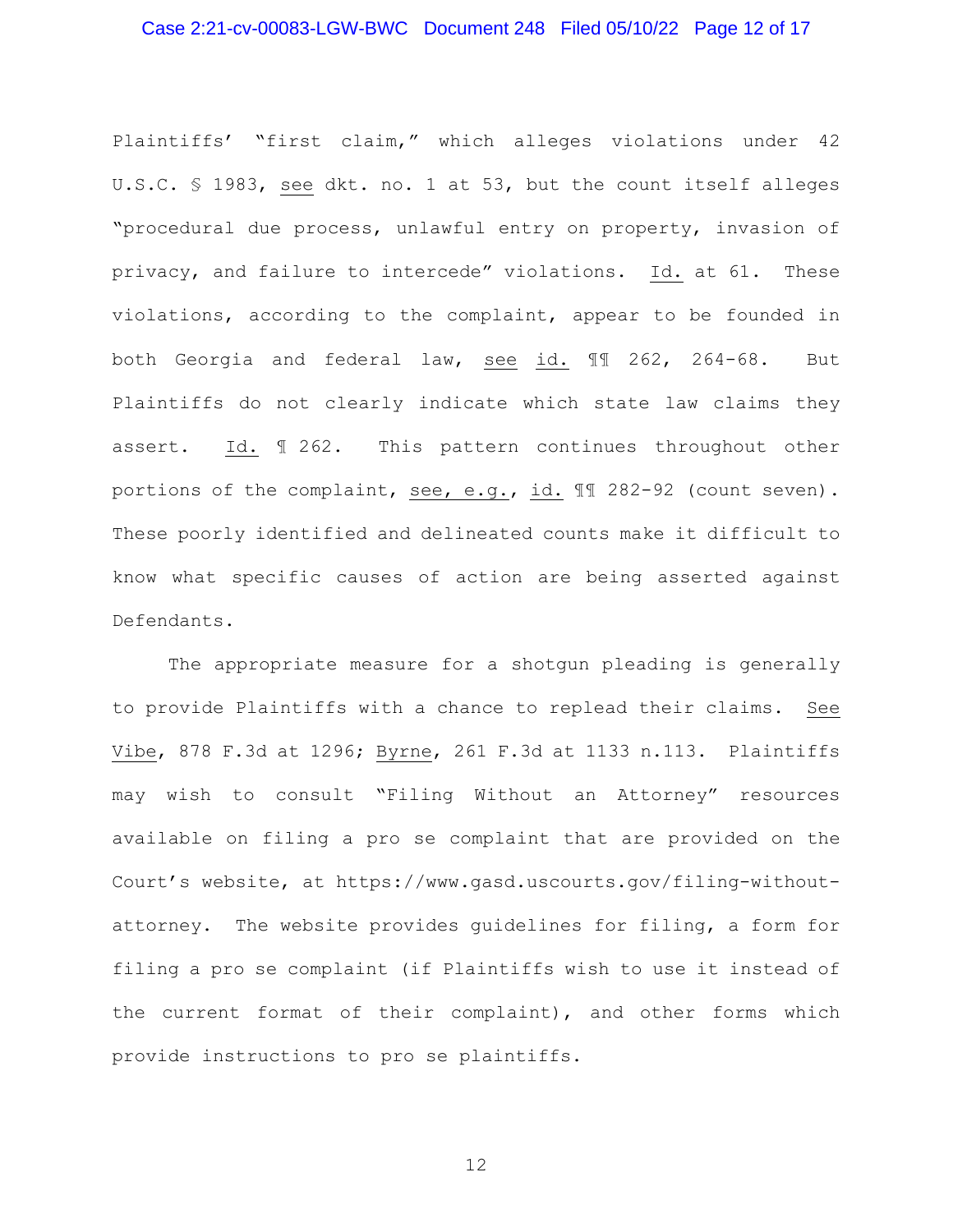## Case 2:21-cv-00083-LGW-BWC Document 248 Filed 05/10/22 Page 12 of 17

Plaintiffs' "first claim," which alleges violations under 42 U.S.C. § 1983, see dkt. no. 1 at 53, but the count itself alleges "procedural due process, unlawful entry on property, invasion of privacy, and failure to intercede" violations. Id. at 61. These violations, according to the complaint, appear to be founded in both Georgia and federal law, see id. ¶¶ 262, 264-68. But Plaintiffs do not clearly indicate which state law claims they assert. Id. ¶ 262. This pattern continues throughout other portions of the complaint, see, e.g., id. ¶¶ 282-92 (count seven). These poorly identified and delineated counts make it difficult to know what specific causes of action are being asserted against Defendants.

The appropriate measure for a shotgun pleading is generally to provide Plaintiffs with a chance to replead their claims. See Vibe, 878 F.3d at 1296; Byrne, 261 F.3d at 1133 n.113. Plaintiffs may wish to consult "Filing Without an Attorney" resources available on filing a pro se complaint that are provided on the Court's website, at https://www.gasd.uscourts.gov/filing-withoutattorney. The website provides guidelines for filing, a form for filing a pro se complaint (if Plaintiffs wish to use it instead of the current format of their complaint), and other forms which provide instructions to pro se plaintiffs.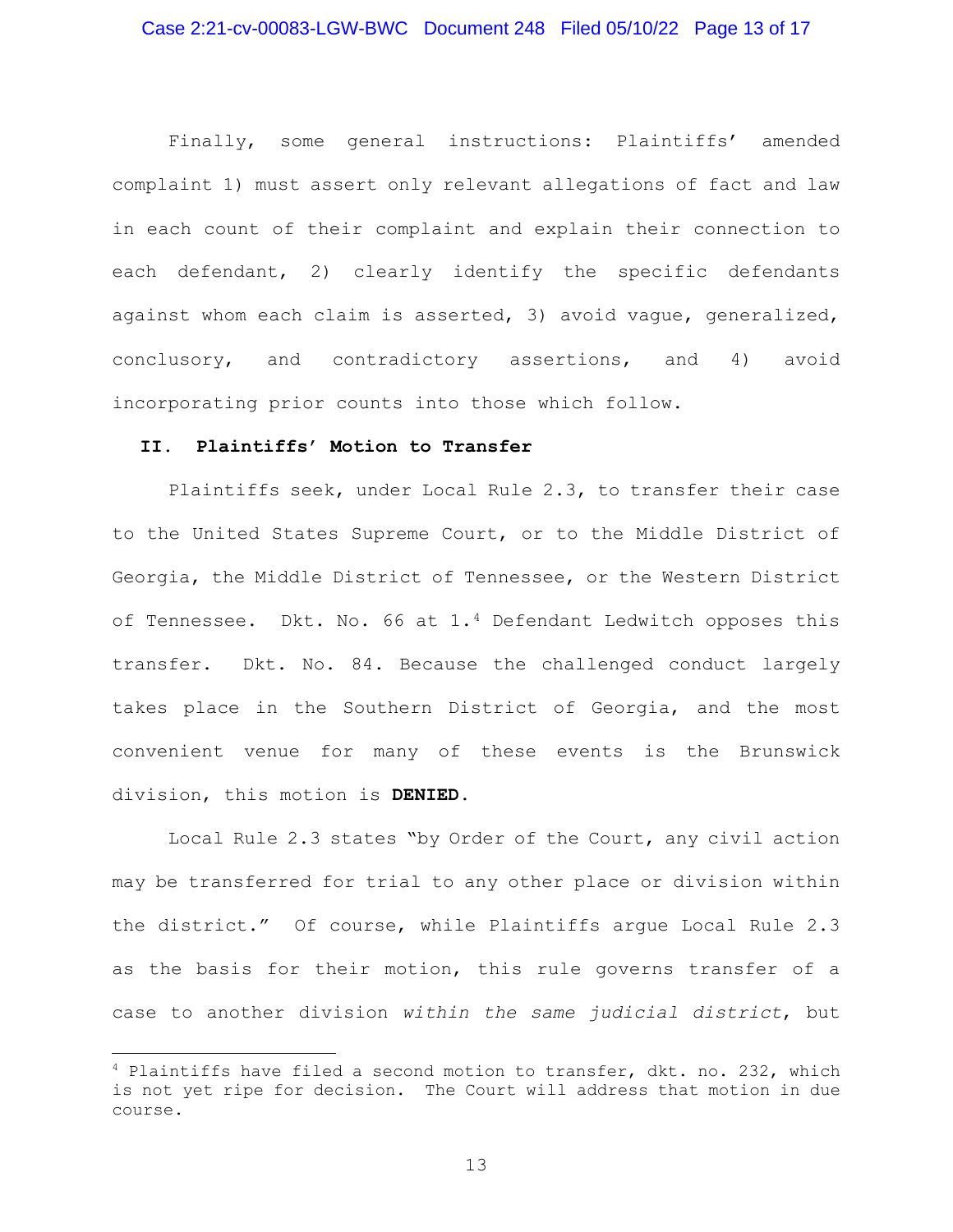#### Case 2:21-cv-00083-LGW-BWC Document 248 Filed 05/10/22 Page 13 of 17

Finally, some general instructions: Plaintiffs' amended complaint 1) must assert only relevant allegations of fact and law in each count of their complaint and explain their connection to each defendant, 2) clearly identify the specific defendants against whom each claim is asserted, 3) avoid vague, generalized, conclusory, and contradictory assertions, and 4) avoid incorporating prior counts into those which follow.

# **II. Plaintiffs' Motion to Transfer**

Plaintiffs seek, under Local Rule 2.3, to transfer their case to the United States Supreme Court, or to the Middle District of Georgia, the Middle District of Tennessee, or the Western District of Tennessee. Dkt. No. 66 at  $1.4$  $1.4$  Defendant Ledwitch opposes this transfer. Dkt. No. 84. Because the challenged conduct largely takes place in the Southern District of Georgia, and the most convenient venue for many of these events is the Brunswick division, this motion is **DENIED.** 

Local Rule 2.3 states "by Order of the Court, any civil action may be transferred for trial to any other place or division within the district." Of course, while Plaintiffs argue Local Rule 2.3 as the basis for their motion, this rule governs transfer of a case to another division *within the same judicial district*, but

<span id="page-12-0"></span><sup>4</sup> Plaintiffs have filed a second motion to transfer, dkt. no. 232, which is not yet ripe for decision. The Court will address that motion in due course.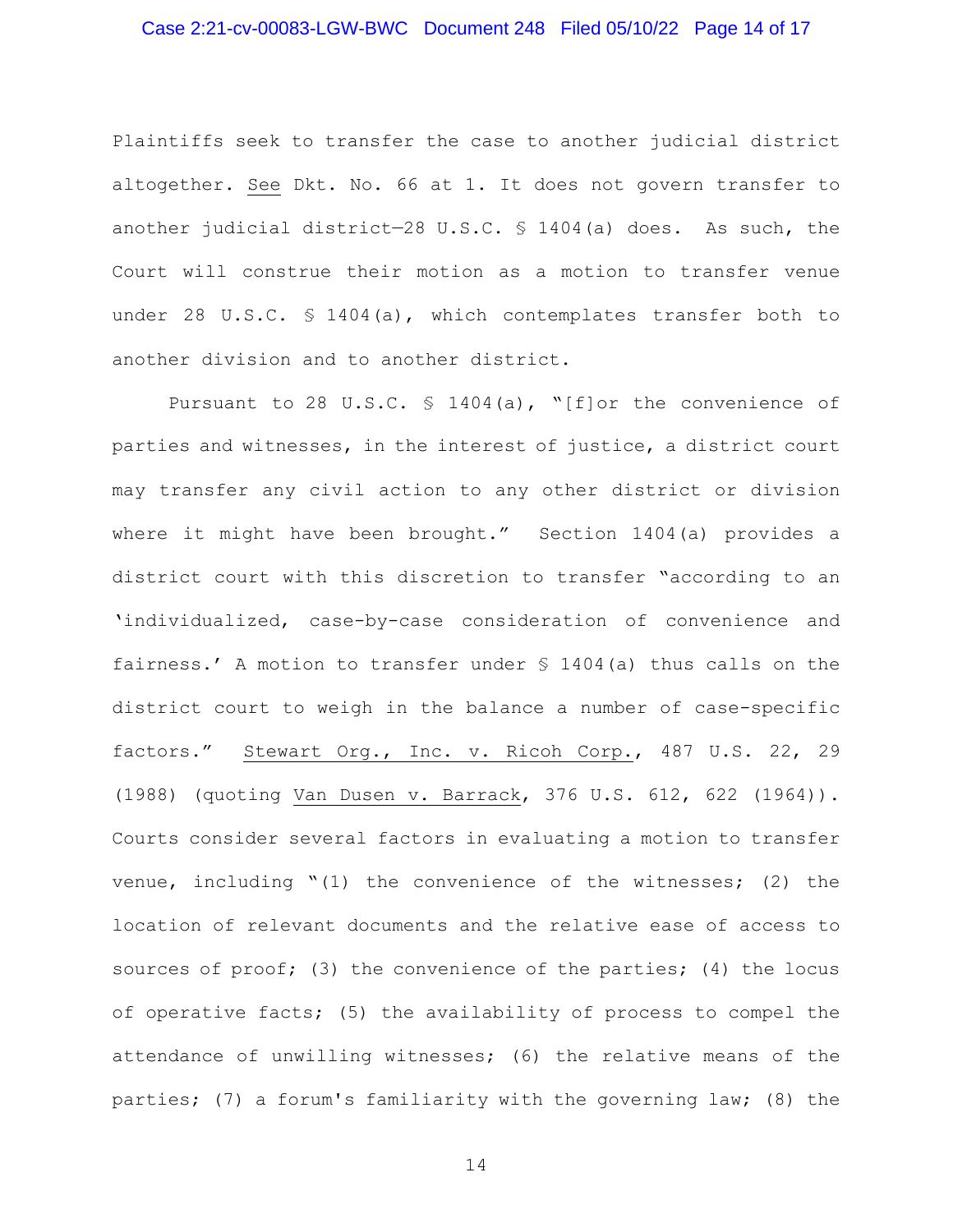#### Case 2:21-cv-00083-LGW-BWC Document 248 Filed 05/10/22 Page 14 of 17

Plaintiffs seek to transfer the case to another judicial district altogether. See Dkt. No. 66 at 1. It does not govern transfer to another judicial district—28 U.S.C. § 1404(a) does. As such, the Court will construe their motion as a motion to transfer venue under 28 U.S.C. § 1404(a), which contemplates transfer both to another division and to another district.

Pursuant to 28 U.S.C. § 1404(a), "[f]or the convenience of parties and witnesses, in the interest of justice, a district court may transfer any civil action to any other district or division where it might have been brought." Section 1404(a) provides a district court with this discretion to transfer "according to an 'individualized, case-by-case consideration of convenience and fairness.' A motion to transfer under § 1404(a) thus calls on the district court to weigh in the balance a number of case-specific factors." Stewart Org., Inc. v. Ricoh Corp., 487 U.S. 22, 29 (1988) (quoting Van Dusen v. Barrack, 376 U.S. 612, 622 (1964)). Courts consider several factors in evaluating a motion to transfer venue, including "(1) the convenience of the witnesses; (2) the location of relevant documents and the relative ease of access to sources of proof; (3) the convenience of the parties; (4) the locus of operative facts; (5) the availability of process to compel the attendance of unwilling witnesses; (6) the relative means of the parties; (7) a forum's familiarity with the governing law; (8) the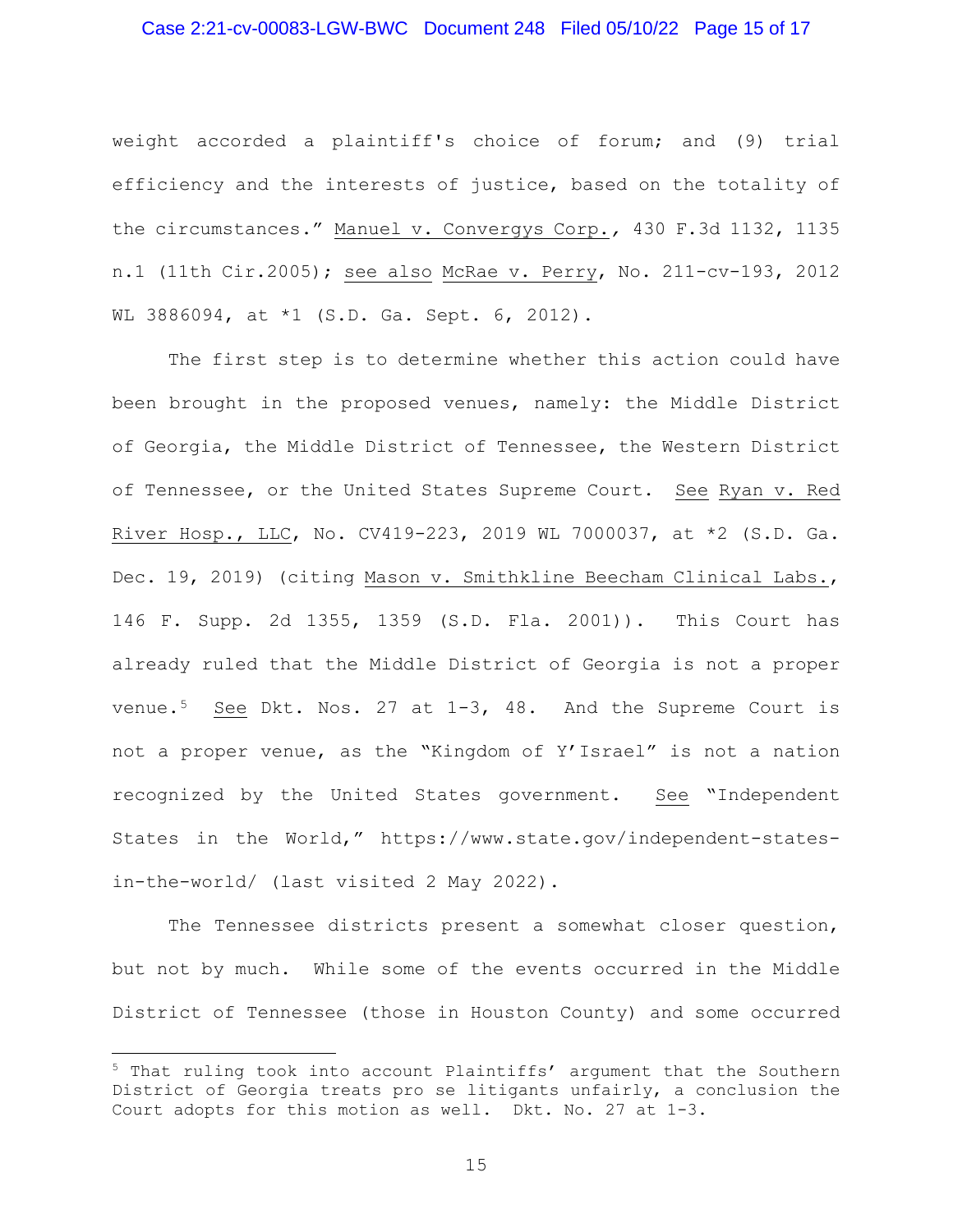#### Case 2:21-cv-00083-LGW-BWC Document 248 Filed 05/10/22 Page 15 of 17

weight accorded a plaintiff's choice of forum; and (9) trial efficiency and the interests of justice, based on the totality of the circumstances." Manuel v. Convergys Corp.*,* 430 F.3d 1132, 1135 n.1 (11th Cir.2005); see also McRae v. Perry, No. 211-cv-193, 2012 WL 3886094, at \*1 (S.D. Ga. Sept. 6, 2012).

The first step is to determine whether this action could have been brought in the proposed venues, namely: the Middle District of Georgia, the Middle District of Tennessee, the Western District of Tennessee, or the United States Supreme Court. See Ryan v. Red River Hosp., LLC, No. CV419-223, 2019 WL 7000037, at \*2 (S.D. Ga. Dec. 19, 2019) (citing Mason v. Smithkline Beecham Clinical Labs., 146 F. Supp. 2d 1355, 1359 (S.D. Fla. 2001)). This Court has already ruled that the Middle District of Georgia is not a proper venue.<sup>[5](#page-14-0)</sup> See Dkt. Nos. 27 at  $1-3$ , 48. And the Supreme Court is not a proper venue, as the "Kingdom of Y'Israel" is not a nation recognized by the United States government. See "Independent States in the World," https://www.state.gov/independent-statesin-the-world/ (last visited 2 May 2022).

The Tennessee districts present a somewhat closer question, but not by much. While some of the events occurred in the Middle District of Tennessee (those in Houston County) and some occurred

<span id="page-14-0"></span><sup>5</sup> That ruling took into account Plaintiffs' argument that the Southern District of Georgia treats pro se litigants unfairly, a conclusion the Court adopts for this motion as well. Dkt. No. 27 at 1-3.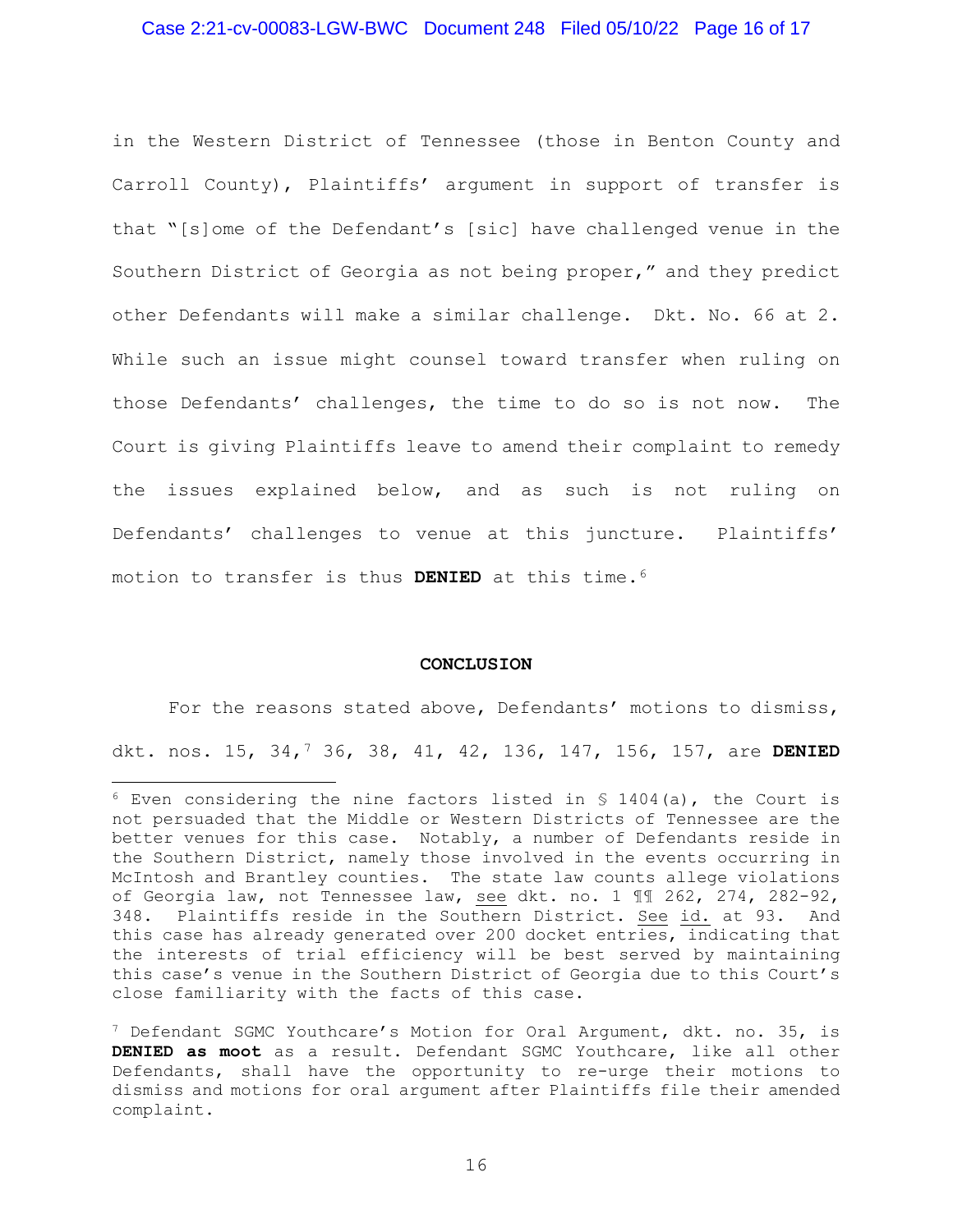#### Case 2:21-cv-00083-LGW-BWC Document 248 Filed 05/10/22 Page 16 of 17

in the Western District of Tennessee (those in Benton County and Carroll County), Plaintiffs' argument in support of transfer is that "[s]ome of the Defendant's [sic] have challenged venue in the Southern District of Georgia as not being proper," and they predict other Defendants will make a similar challenge. Dkt. No. 66 at 2. While such an issue might counsel toward transfer when ruling on those Defendants' challenges, the time to do so is not now. The Court is giving Plaintiffs leave to amend their complaint to remedy the issues explained below, and as such is not ruling on Defendants' challenges to venue at this juncture. Plaintiffs' motion to transfer is thus **DENIED** at this time.[6](#page-15-0)

#### **CONCLUSION**

For the reasons stated above, Defendants' motions to dismiss, dkt. nos. 15, 34,[7](#page-15-1) 36, 38, 41, 42, 136, 147, 156, 157, are **DENIED**

<span id="page-15-0"></span> $6$  Even considering the nine factors listed in § 1404(a), the Court is not persuaded that the Middle or Western Districts of Tennessee are the better venues for this case. Notably, a number of Defendants reside in the Southern District, namely those involved in the events occurring in McIntosh and Brantley counties. The state law counts allege violations of Georgia law, not Tennessee law, see dkt. no. 1 ¶¶ 262, 274, 282-92, 348. Plaintiffs reside in the Southern District. See id. at 93. And this case has already generated over 200 docket entries, indicating that the interests of trial efficiency will be best served by maintaining this case's venue in the Southern District of Georgia due to this Court's close familiarity with the facts of this case.

<span id="page-15-1"></span><sup>&</sup>lt;sup>7</sup> Defendant SGMC Youthcare's Motion for Oral Argument, dkt. no. 35, is **DENIED as moot** as a result. Defendant SGMC Youthcare, like all other Defendants, shall have the opportunity to re-urge their motions to dismiss and motions for oral argument after Plaintiffs file their amended complaint.